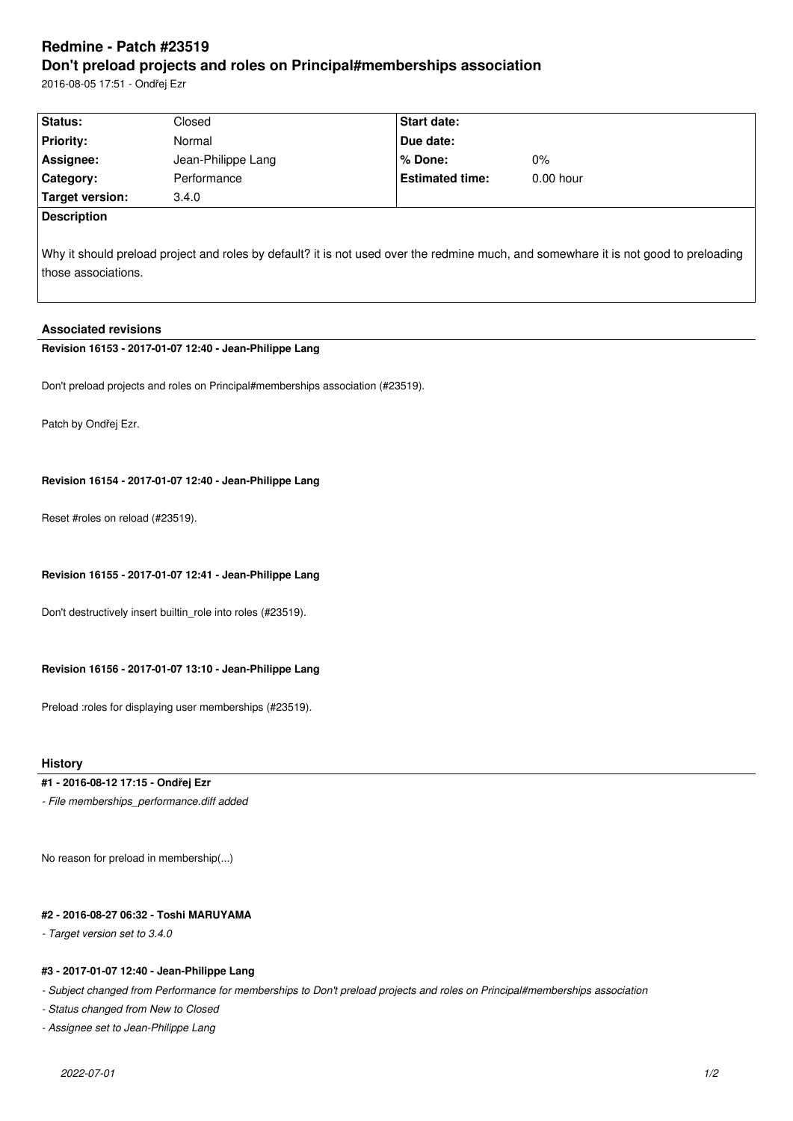# **Redmine - Patch #23519 Don't preload projects and roles on Principal#memberships association**

2016-08-05 17:51 - Ondřej Ezr

| Status:            | Closed             | <b>Start date:</b>     |             |  |
|--------------------|--------------------|------------------------|-------------|--|
| <b>Priority:</b>   | Normal             | <b>Due date:</b>       |             |  |
| Assignee:          | Jean-Philippe Lang | l % Done:              | $0\%$       |  |
| <b>Category:</b>   | Performance        | <b>Estimated time:</b> | $0.00$ hour |  |
| Target version:    | 3.4.0              |                        |             |  |
| <b>Description</b> |                    |                        |             |  |

Why it should preload project and roles by default? it is not used over the redmine much, and somewhare it is not good to preloading those associations.

## **Associated revisions**

# **Revision 16153 - 2017-01-07 12:40 - Jean-Philippe Lang**

Don't preload projects and roles on Principal#memberships association (#23519).

Patch by Ondřej Ezr.

### **Revision 16154 - 2017-01-07 12:40 - Jean-Philippe Lang**

Reset #roles on reload (#23519).

## **Revision 16155 - 2017-01-07 12:41 - Jean-Philippe Lang**

Don't destructively insert builtin\_role into roles (#23519).

#### **Revision 16156 - 2017-01-07 13:10 - Jean-Philippe Lang**

Preload :roles for displaying user memberships (#23519).

# **History**

## **#1 - 2016-08-12 17:15 - Ondřej Ezr**

*- File memberships\_performance.diff added*

No reason for preload in membership(...)

#### **#2 - 2016-08-27 06:32 - Toshi MARUYAMA**

#### *- Target version set to 3.4.0*

### **#3 - 2017-01-07 12:40 - Jean-Philippe Lang**

*- Subject changed from Performance for memberships to Don't preload projects and roles on Principal#memberships association*

*- Status changed from New to Closed*

*- Assignee set to Jean-Philippe Lang*